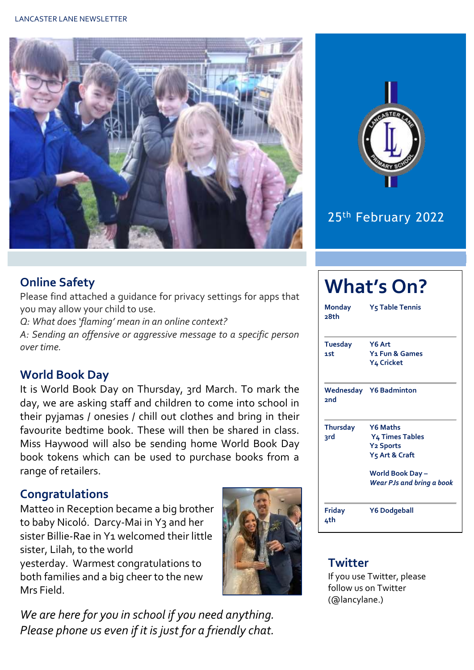



## 25th February 2022

#### **Online Safety**

Please find attached a guidance for privacy settings for apps that you may allow your child to use.

*Q: What does 'flaming' mean in an online context? A: Sending an offensive or aggressive message to a specific person over time.*

#### **World Book Day**

It is World Book Day on Thursday, 3rd March. To mark the day, we are asking staff and children to come into school in their pyjamas / onesies / chill out clothes and bring in their favourite bedtime book. These will then be shared in class. Miss Haywood will also be sending home World Book Day book tokens which can be used to purchase books from a range of retailers.

#### **Congratulations**

Matteo in Reception became a big brother to baby Nicoló. Darcy-Mai in Y3 and her sister Billie-Rae in Y1 welcomed their little sister, Lilah, to the world yesterday. Warmest congratulations to both families and a big cheer to the new Mrs Field.



*We are here for you in school if you need anything. Please phone us even if it is just for a friendly chat.* 

### **What's On? Monday Y5 Table Tennis 28th Tuesday Y6 Art 1st Y1 Fun & Games Y4 Cricket Wednesday Y6 Badminton 2nd Thursday Y6 Maths 3rd Y4 Times Tables Y2 Sports Y5 Art & Craft World Book Day –** *Wear PJs and bring a book* **Friday Y6 Dodgeball 4th**

#### **Twitter**

If you use Twitter, please follow us on Twitter (@lancylane.)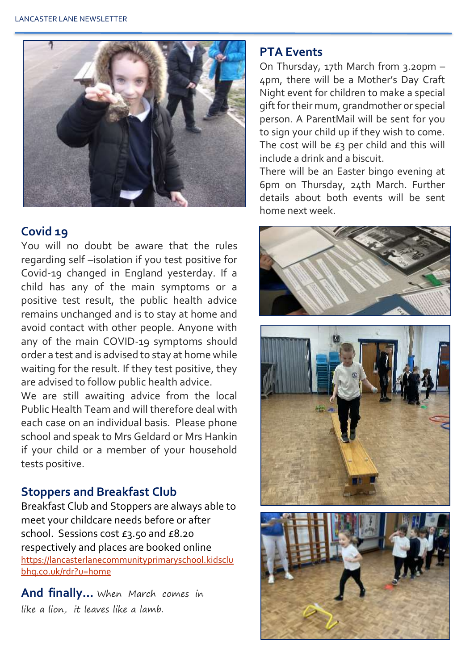

#### **Covid 19**

You will no doubt be aware that the rules regarding self –isolation if you test positive for Covid-19 changed in England yesterday. If a child has any of the main symptoms or a positive test result, the public health advice remains unchanged and is to stay at home and avoid contact with other people. Anyone with any of the main COVID-19 symptoms should order a test and is advised to stay at home while waiting for the result. If they test positive, they are advised to follow public health advice.

We are still awaiting advice from the local Public Health Team and will therefore deal with each case on an individual basis. Please phone school and speak to Mrs Geldard or Mrs Hankin if your child or a member of your household tests positive.

#### **Stoppers and Breakfast Club**

Breakfast Club and Stoppers are always able to meet your childcare needs before or after school. Sessions cost £3.50 and £8.20 respectively and places are booked online [https://lancasterlanecommunityprimaryschool.kidsclu](https://lancasterlanecommunityprimaryschool.kidsclubhq.co.uk/rdr?u=home) [bhq.co.uk/rdr?u=home](https://lancasterlanecommunityprimaryschool.kidsclubhq.co.uk/rdr?u=home)

**And finally…** When March comes in like a lion, it leaves like a lamb.

#### **PTA Events**

On Thursday, 17th March from 3.20pm – 4pm, there will be a Mother's Day Craft Night event for children to make a special gift for their mum, grandmother or special person. A ParentMail will be sent for you to sign your child up if they wish to come. The cost will be  $E_3$  per child and this will include a drink and a biscuit.

There will be an Easter bingo evening at 6pm on Thursday, 24th March. Further details about both events will be sent home next week.